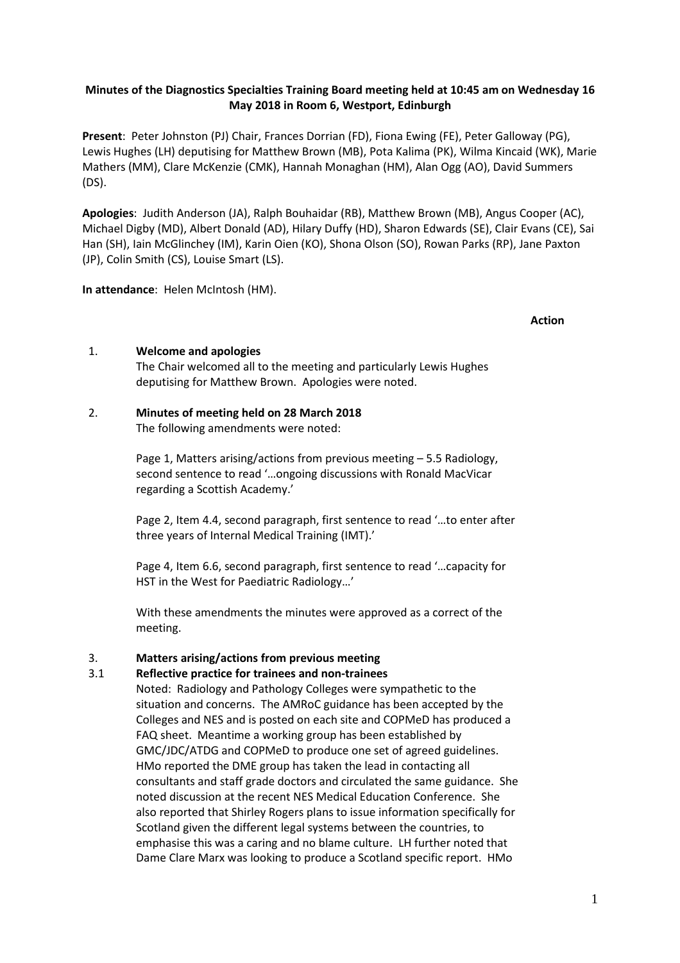### **Minutes of the Diagnostics Specialties Training Board meeting held at 10:45 am on Wednesday 16 May 2018 in Room 6, Westport, Edinburgh**

**Present**: Peter Johnston (PJ) Chair, Frances Dorrian (FD), Fiona Ewing (FE), Peter Galloway (PG), Lewis Hughes (LH) deputising for Matthew Brown (MB), Pota Kalima (PK), Wilma Kincaid (WK), Marie Mathers (MM), Clare McKenzie (CMK), Hannah Monaghan (HM), Alan Ogg (AO), David Summers (DS).

**Apologies**: Judith Anderson (JA), Ralph Bouhaidar (RB), Matthew Brown (MB), Angus Cooper (AC), Michael Digby (MD), Albert Donald (AD), Hilary Duffy (HD), Sharon Edwards (SE), Clair Evans (CE), Sai Han (SH), Iain McGlinchey (IM), Karin Oien (KO), Shona Olson (SO), Rowan Parks (RP), Jane Paxton (JP), Colin Smith (CS), Louise Smart (LS).

**In attendance**: Helen McIntosh (HM).

#### **Action**

#### 1. **Welcome and apologies**

The Chair welcomed all to the meeting and particularly Lewis Hughes deputising for Matthew Brown. Apologies were noted.

### 2. **Minutes of meeting held on 28 March 2018**

The following amendments were noted:

Page 1, Matters arising/actions from previous meeting – 5.5 Radiology, second sentence to read '…ongoing discussions with Ronald MacVicar regarding a Scottish Academy.'

Page 2, Item 4.4, second paragraph, first sentence to read '…to enter after three years of Internal Medical Training (IMT).'

Page 4, Item 6.6, second paragraph, first sentence to read '…capacity for HST in the West for Paediatric Radiology…'

With these amendments the minutes were approved as a correct of the meeting.

# 3. **Matters arising/actions from previous meeting**

### 3.1 **Reflective practice for trainees and non-trainees**

Noted: Radiology and Pathology Colleges were sympathetic to the situation and concerns. The AMRoC guidance has been accepted by the Colleges and NES and is posted on each site and COPMeD has produced a FAQ sheet. Meantime a working group has been established by GMC/JDC/ATDG and COPMeD to produce one set of agreed guidelines. HMo reported the DME group has taken the lead in contacting all consultants and staff grade doctors and circulated the same guidance. She noted discussion at the recent NES Medical Education Conference. She also reported that Shirley Rogers plans to issue information specifically for Scotland given the different legal systems between the countries, to emphasise this was a caring and no blame culture. LH further noted that Dame Clare Marx was looking to produce a Scotland specific report. HMo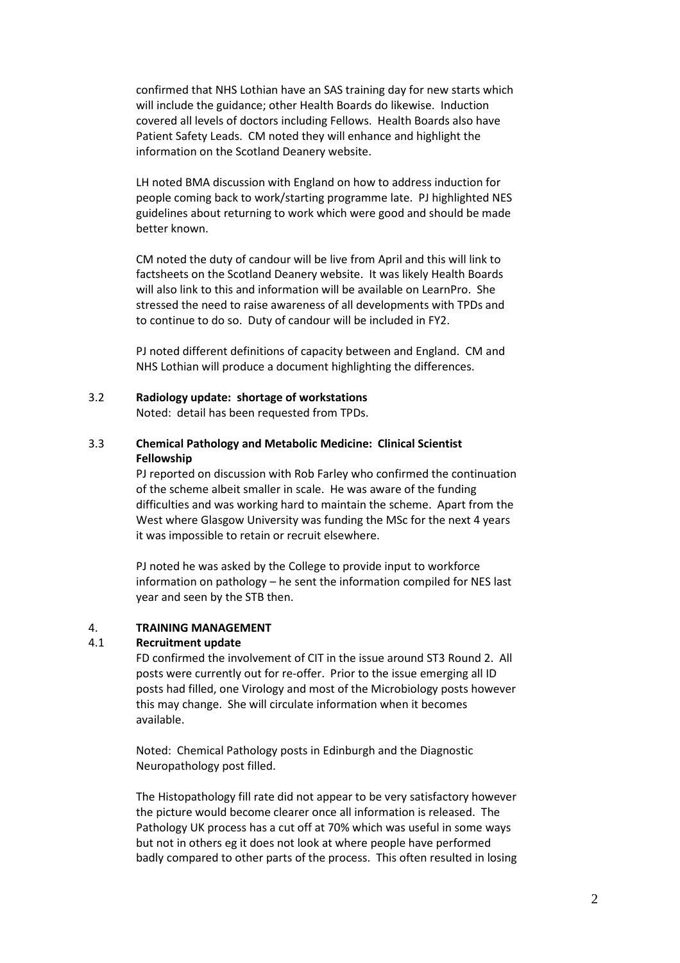confirmed that NHS Lothian have an SAS training day for new starts which will include the guidance; other Health Boards do likewise. Induction covered all levels of doctors including Fellows. Health Boards also have Patient Safety Leads. CM noted they will enhance and highlight the information on the Scotland Deanery website.

LH noted BMA discussion with England on how to address induction for people coming back to work/starting programme late. PJ highlighted NES guidelines about returning to work which were good and should be made better known.

CM noted the duty of candour will be live from April and this will link to factsheets on the Scotland Deanery website. It was likely Health Boards will also link to this and information will be available on LearnPro. She stressed the need to raise awareness of all developments with TPDs and to continue to do so. Duty of candour will be included in FY2.

PJ noted different definitions of capacity between and England. CM and NHS Lothian will produce a document highlighting the differences.

3.2 **Radiology update: shortage of workstations**

Noted: detail has been requested from TPDs.

3.3 **Chemical Pathology and Metabolic Medicine: Clinical Scientist Fellowship** 

> PJ reported on discussion with Rob Farley who confirmed the continuation of the scheme albeit smaller in scale. He was aware of the funding difficulties and was working hard to maintain the scheme. Apart from the West where Glasgow University was funding the MSc for the next 4 years it was impossible to retain or recruit elsewhere.

PJ noted he was asked by the College to provide input to workforce information on pathology – he sent the information compiled for NES last year and seen by the STB then.

#### 4. **TRAINING MANAGEMENT**

### 4.1 **Recruitment update**

FD confirmed the involvement of CIT in the issue around ST3 Round 2. All posts were currently out for re-offer. Prior to the issue emerging all ID posts had filled, one Virology and most of the Microbiology posts however this may change. She will circulate information when it becomes available.

Noted: Chemical Pathology posts in Edinburgh and the Diagnostic Neuropathology post filled.

The Histopathology fill rate did not appear to be very satisfactory however the picture would become clearer once all information is released. The Pathology UK process has a cut off at 70% which was useful in some ways but not in others eg it does not look at where people have performed badly compared to other parts of the process. This often resulted in losing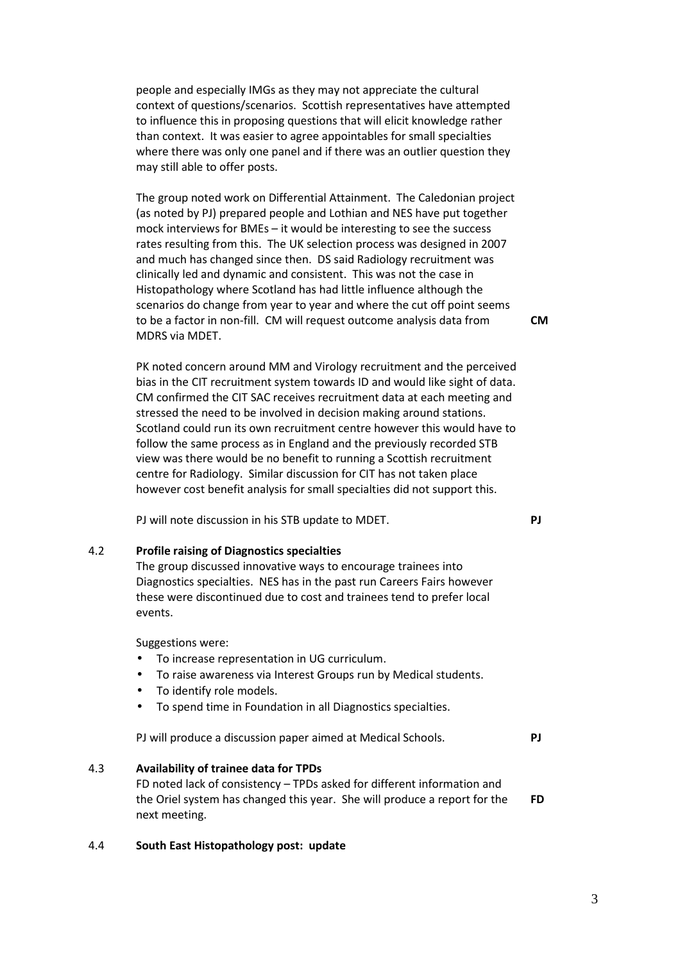people and especially IMGs as they may not appreciate the cultural context of questions/scenarios. Scottish representatives have attempted to influence this in proposing questions that will elicit knowledge rather than context. It was easier to agree appointables for small specialties where there was only one panel and if there was an outlier question they may still able to offer posts.

The group noted work on Differential Attainment. The Caledonian project (as noted by PJ) prepared people and Lothian and NES have put together mock interviews for BMEs – it would be interesting to see the success rates resulting from this. The UK selection process was designed in 2007 and much has changed since then. DS said Radiology recruitment was clinically led and dynamic and consistent. This was not the case in Histopathology where Scotland has had little influence although the scenarios do change from year to year and where the cut off point seems to be a factor in non-fill. CM will request outcome analysis data from MDRS via MDET.

PK noted concern around MM and Virology recruitment and the perceived bias in the CIT recruitment system towards ID and would like sight of data. CM confirmed the CIT SAC receives recruitment data at each meeting and stressed the need to be involved in decision making around stations. Scotland could run its own recruitment centre however this would have to follow the same process as in England and the previously recorded STB view was there would be no benefit to running a Scottish recruitment centre for Radiology. Similar discussion for CIT has not taken place however cost benefit analysis for small specialties did not support this.

PJ will note discussion in his STB update to MDET.

#### 4.2 **Profile raising of Diagnostics specialties**

The group discussed innovative ways to encourage trainees into Diagnostics specialties. NES has in the past run Careers Fairs however these were discontinued due to cost and trainees tend to prefer local events.

Suggestions were:

- To increase representation in UG curriculum.
- To raise awareness via Interest Groups run by Medical students.
- To identify role models.
- To spend time in Foundation in all Diagnostics specialties.

PJ will produce a discussion paper aimed at Medical Schools. **PJ**

#### 4.3 **Availability of trainee data for TPDs**

FD noted lack of consistency – TPDs asked for different information and the Oriel system has changed this year. She will produce a report for the next meeting. **FD** 

#### 4.4 **South East Histopathology post: update**

**CM** 

**PJ**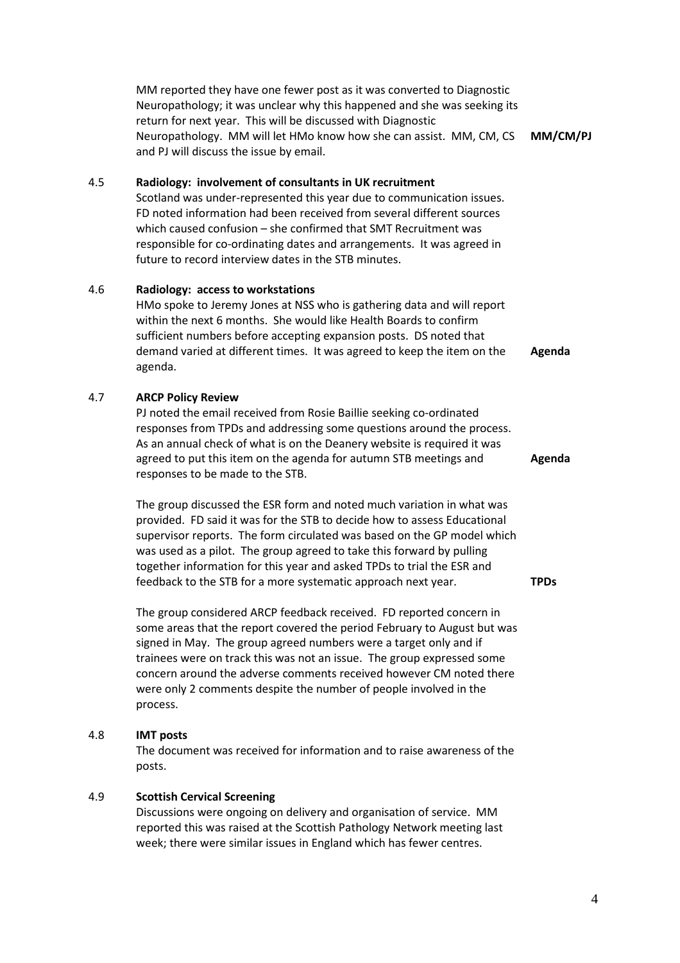| MM reported they have one fewer post as it was converted to Diagnostic   |          |
|--------------------------------------------------------------------------|----------|
| Neuropathology; it was unclear why this happened and she was seeking its |          |
| return for next year. This will be discussed with Diagnostic             |          |
| Neuropathology. MM will let HMo know how she can assist. MM, CM, CS      | MM/CM/PJ |
| and PJ will discuss the issue by email.                                  |          |

#### 4.5 **Radiology: involvement of consultants in UK recruitment**

Scotland was under-represented this year due to communication issues. FD noted information had been received from several different sources which caused confusion – she confirmed that SMT Recruitment was responsible for co-ordinating dates and arrangements. It was agreed in future to record interview dates in the STB minutes.

#### 4.6 **Radiology: access to workstations**

HMo spoke to Jeremy Jones at NSS who is gathering data and will report within the next 6 months. She would like Health Boards to confirm sufficient numbers before accepting expansion posts. DS noted that demand varied at different times. It was agreed to keep the item on the agenda. **Agenda** 

### 4.7 **ARCP Policy Review**

PJ noted the email received from Rosie Baillie seeking co-ordinated responses from TPDs and addressing some questions around the process. As an annual check of what is on the Deanery website is required it was agreed to put this item on the agenda for autumn STB meetings and responses to be made to the STB.

The group discussed the ESR form and noted much variation in what was provided. FD said it was for the STB to decide how to assess Educational supervisor reports. The form circulated was based on the GP model which was used as a pilot. The group agreed to take this forward by pulling together information for this year and asked TPDs to trial the ESR and feedback to the STB for a more systematic approach next year.

The group considered ARCP feedback received. FD reported concern in some areas that the report covered the period February to August but was signed in May. The group agreed numbers were a target only and if trainees were on track this was not an issue. The group expressed some concern around the adverse comments received however CM noted there were only 2 comments despite the number of people involved in the process.

#### 4.8 **IMT posts**

The document was received for information and to raise awareness of the posts.

#### 4.9 **Scottish Cervical Screening**

Discussions were ongoing on delivery and organisation of service. MM reported this was raised at the Scottish Pathology Network meeting last week; there were similar issues in England which has fewer centres.

**Agenda** 

**TPDs**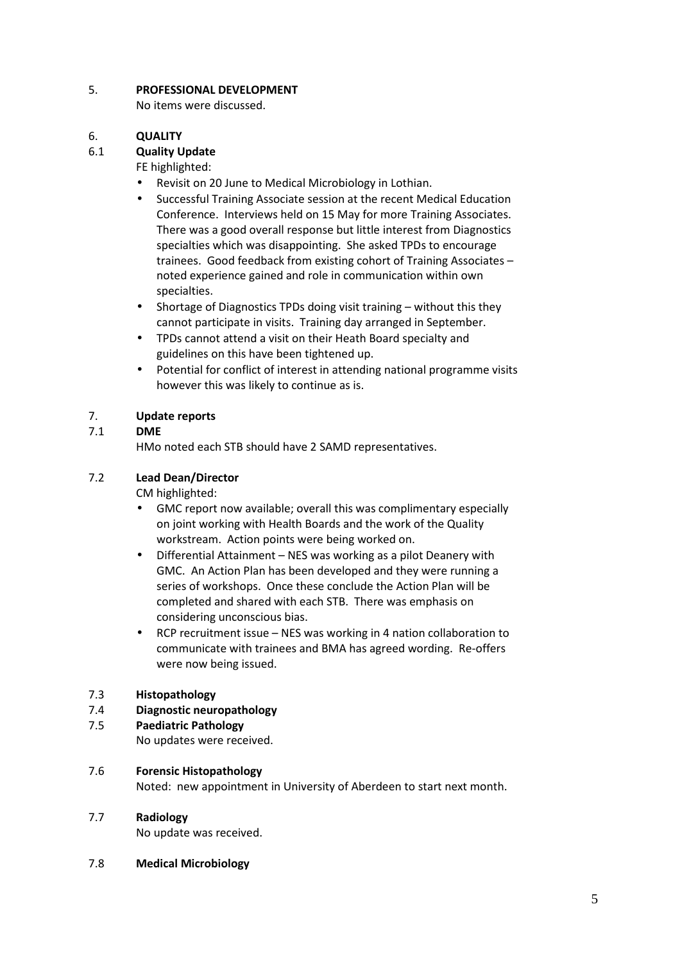### 5. **PROFESSIONAL DEVELOPMENT**

No items were discussed.

### 6. **QUALITY**

### 6.1 **Quality Update**

FE highlighted:

- Revisit on 20 June to Medical Microbiology in Lothian.
- Successful Training Associate session at the recent Medical Education Conference. Interviews held on 15 May for more Training Associates. There was a good overall response but little interest from Diagnostics specialties which was disappointing. She asked TPDs to encourage trainees. Good feedback from existing cohort of Training Associates – noted experience gained and role in communication within own specialties.
- Shortage of Diagnostics TPDs doing visit training without this they cannot participate in visits. Training day arranged in September.
- TPDs cannot attend a visit on their Heath Board specialty and guidelines on this have been tightened up.
- Potential for conflict of interest in attending national programme visits however this was likely to continue as is.

### 7. **Update reports**

### 7.1 **DME**

HMo noted each STB should have 2 SAMD representatives.

### 7.2 **Lead Dean/Director**

CM highlighted:

- GMC report now available; overall this was complimentary especially on joint working with Health Boards and the work of the Quality workstream. Action points were being worked on.
- Differential Attainment NES was working as a pilot Deanery with GMC. An Action Plan has been developed and they were running a series of workshops. Once these conclude the Action Plan will be completed and shared with each STB. There was emphasis on considering unconscious bias.
- RCP recruitment issue NES was working in 4 nation collaboration to communicate with trainees and BMA has agreed wording. Re-offers were now being issued.

#### 7.3 **Histopathology**

### 7.4 **Diagnostic neuropathology**

7.5 **Paediatric Pathology**

No updates were received.

#### 7.6 **Forensic Histopathology**

Noted: new appointment in University of Aberdeen to start next month.

#### 7.7 **Radiology**

No update was received.

7.8 **Medical Microbiology**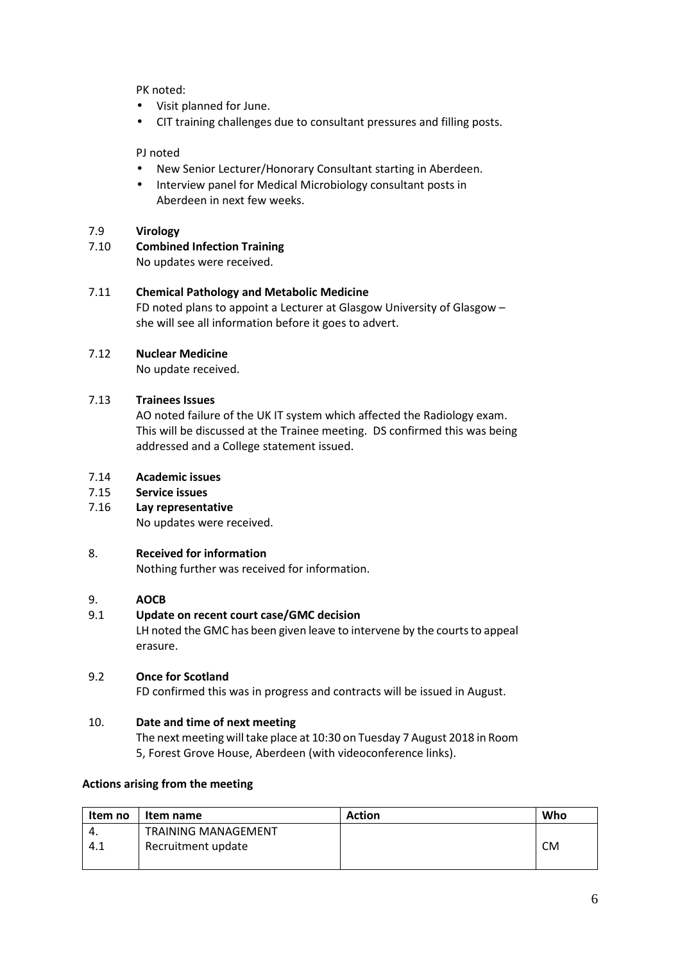PK noted:

- Visit planned for June.
- CIT training challenges due to consultant pressures and filling posts.

PJ noted

- New Senior Lecturer/Honorary Consultant starting in Aberdeen.
- Interview panel for Medical Microbiology consultant posts in Aberdeen in next few weeks.

### 7.9 **Virology**

7.10 **Combined Infection Training**

No updates were received.

### 7.11 **Chemical Pathology and Metabolic Medicine**

FD noted plans to appoint a Lecturer at Glasgow University of Glasgow – she will see all information before it goes to advert.

### 7.12 **Nuclear Medicine**

No update received.

# 7.13 **Trainees Issues**

AO noted failure of the UK IT system which affected the Radiology exam. This will be discussed at the Trainee meeting. DS confirmed this was being addressed and a College statement issued.

- 7.14 **Academic issues**
- 7.15 **Service issues**
- 7.16 **Lay representative**

No updates were received.

# 8. **Received for information**

Nothing further was received for information.

### 9. **AOCB**

# 9.1 **Update on recent court case/GMC decision**

LH noted the GMC has been given leave to intervene by the courts to appeal erasure.

### 9.2 **Once for Scotland**

FD confirmed this was in progress and contracts will be issued in August.

# 10. **Date and time of next meeting**

The next meeting will take place at 10:30 on Tuesday 7 August 2018 in Room 5, Forest Grove House, Aberdeen (with videoconference links).

# **Actions arising from the meeting**

| Item no | Item name                  | <b>Action</b> | Who       |
|---------|----------------------------|---------------|-----------|
| -4.     | <b>TRAINING MANAGEMENT</b> |               |           |
| 4.1     | Recruitment update         |               | <b>CM</b> |
|         |                            |               |           |